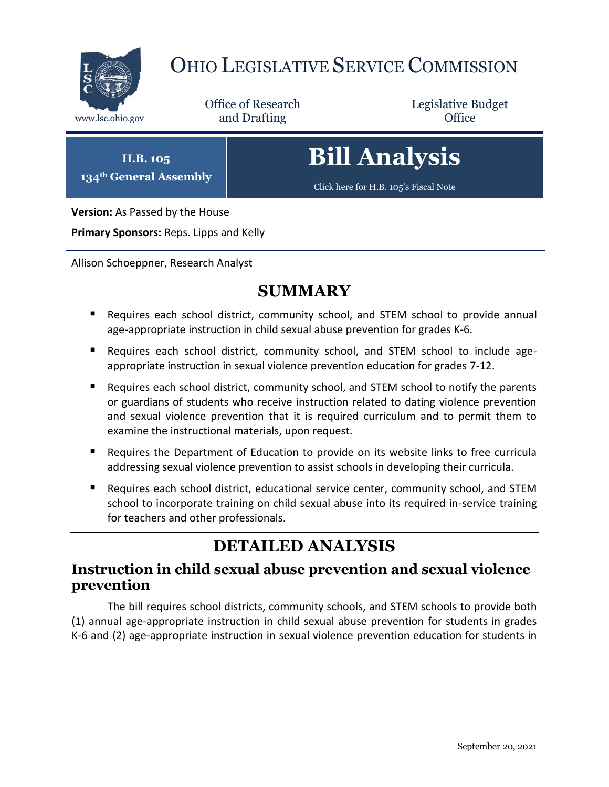

## OHIO LEGISLATIVE SERVICE COMMISSION

Office of Research www.lsc.ohio.gov **and Drafting Office** 

Legislative Budget

**H.B. 105 134th General Assembly**

# **Bill Analysis**

[Click here for H.B. 105](https://www.legislature.ohio.gov/legislation/legislation-documents?id=GA134-HB-105)'s Fiscal Note

**Version:** As Passed by the House

**Primary Sponsors:** Reps. Lipps and Kelly

Allison Schoeppner, Research Analyst

#### **SUMMARY**

- Requires each school district, community school, and STEM school to provide annual age-appropriate instruction in child sexual abuse prevention for grades K-6.
- Requires each school district, community school, and STEM school to include ageappropriate instruction in sexual violence prevention education for grades 7-12.
- Requires each school district, community school, and STEM school to notify the parents or guardians of students who receive instruction related to dating violence prevention and sexual violence prevention that it is required curriculum and to permit them to examine the instructional materials, upon request.
- Requires the Department of Education to provide on its website links to free curricula addressing sexual violence prevention to assist schools in developing their curricula.
- Requires each school district, educational service center, community school, and STEM school to incorporate training on child sexual abuse into its required in-service training for teachers and other professionals.

## **DETAILED ANALYSIS**

#### **Instruction in child sexual abuse prevention and sexual violence prevention**

The bill requires school districts, community schools, and STEM schools to provide both (1) annual age-appropriate instruction in child sexual abuse prevention for students in grades K-6 and (2) age-appropriate instruction in sexual violence prevention education for students in